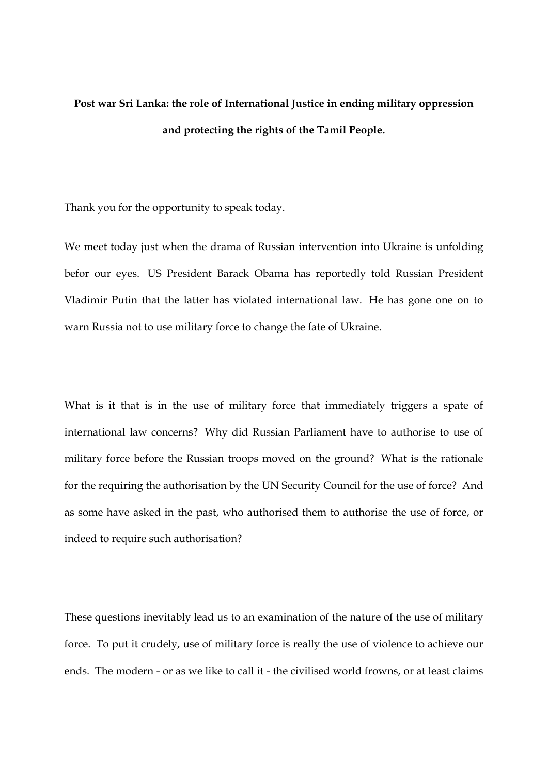## **Post war Sri Lanka: the role of International Justice in ending military oppression and protecting the rights of the Tamil People.**

Thank you for the opportunity to speak today.

We meet today just when the drama of Russian intervention into Ukraine is unfolding befor our eyes. US President Barack Obama has reportedly told Russian President Vladimir Putin that the latter has violated international law. He has gone one on to warn Russia not to use military force to change the fate of Ukraine.

What is it that is in the use of military force that immediately triggers a spate of international law concerns? Why did Russian Parliament have to authorise to use of military force before the Russian troops moved on the ground? What is the rationale for the requiring the authorisation by the UN Security Council for the use of force? And as some have asked in the past, who authorised them to authorise the use of force, or indeed to require such authorisation?

These questions inevitably lead us to an examination of the nature of the use of military force. To put it crudely, use of military force is really the use of violence to achieve our ends. The modern - or as we like to call it - the civilised world frowns, or at least claims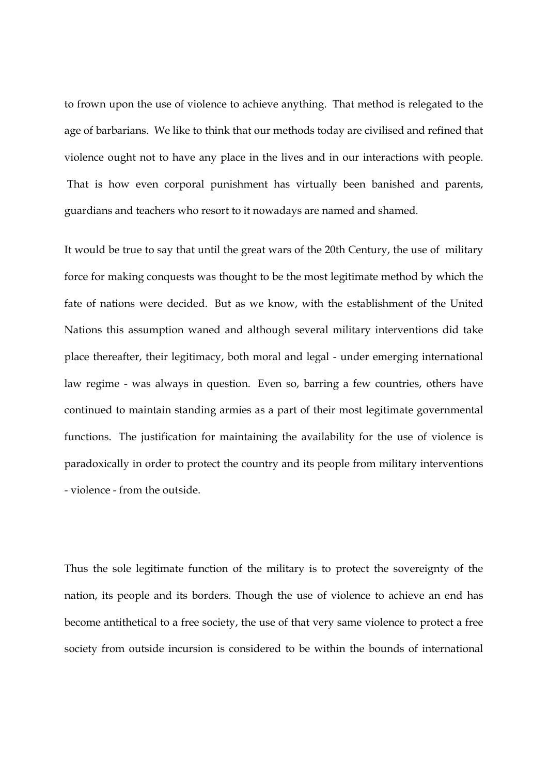to frown upon the use of violence to achieve anything. That method is relegated to the age of barbarians. We like to think that our methods today are civilised and refined that violence ought not to have any place in the lives and in our interactions with people. That is how even corporal punishment has virtually been banished and parents, guardians and teachers who resort to it nowadays are named and shamed.

It would be true to say that until the great wars of the 20th Century, the use of military force for making conquests was thought to be the most legitimate method by which the fate of nations were decided. But as we know, with the establishment of the United Nations this assumption waned and although several military interventions did take place thereafter, their legitimacy, both moral and legal - under emerging international law regime - was always in question. Even so, barring a few countries, others have continued to maintain standing armies as a part of their most legitimate governmental functions. The justification for maintaining the availability for the use of violence is paradoxically in order to protect the country and its people from military interventions - violence - from the outside.

Thus the sole legitimate function of the military is to protect the sovereignty of the nation, its people and its borders. Though the use of violence to achieve an end has become antithetical to a free society, the use of that very same violence to protect a free society from outside incursion is considered to be within the bounds of international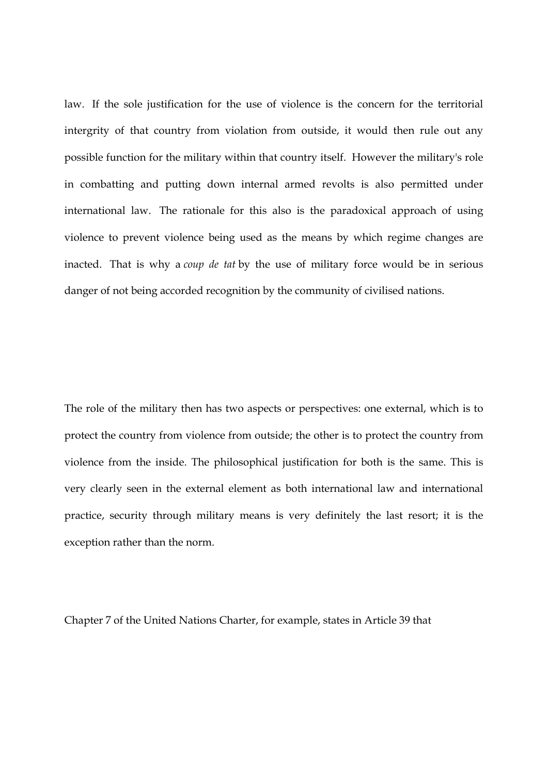law. If the sole justification for the use of violence is the concern for the territorial intergrity of that country from violation from outside, it would then rule out any possible function for the military within that country itself. However the military's role in combatting and putting down internal armed revolts is also permitted under international law. The rationale for this also is the paradoxical approach of using violence to prevent violence being used as the means by which regime changes are inacted. That is why a *coup de tat* by the use of military force would be in serious danger of not being accorded recognition by the community of civilised nations.

The role of the military then has two aspects or perspectives: one external, which is to protect the country from violence from outside; the other is to protect the country from violence from the inside. The philosophical justification for both is the same. This is very clearly seen in the external element as both international law and international practice, security through military means is very definitely the last resort; it is the exception rather than the norm.

Chapter 7 of the United Nations Charter, for example, states in Article 39 that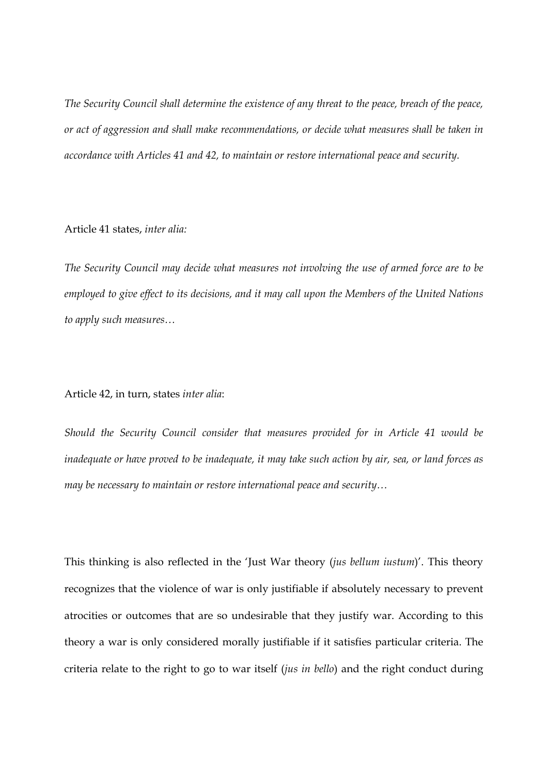*The Security Council shall determine the existence of any threat to the peace, breach of the peace, or act of aggression and shall make recommendations, or decide what measures shall be taken in accordance with Articles 41 and 42, to maintain or restore international peace and security.* 

## Article 41 states, *inter alia:*

*The Security Council may decide what measures not involving the use of armed force are to be employed to give effect to its decisions, and it may call upon the Members of the United Nations to apply such measures…* 

## Article 42, in turn, states *inter alia*:

*Should the Security Council consider that measures provided for in Article 41 would be inadequate or have proved to be inadequate, it may take such action by air, sea, or land forces as may be necessary to maintain or restore international peace and security…* 

This thinking is also reflected in the 'Just War theory (*jus bellum iustum*)'. This theory recognizes that the violence of war is only justifiable if absolutely necessary to prevent atrocities or outcomes that are so undesirable that they justify war. According to this theory a war is only considered morally justifiable if it satisfies particular criteria. The criteria relate to the right to go to war itself (*jus in bello*) and the right conduct during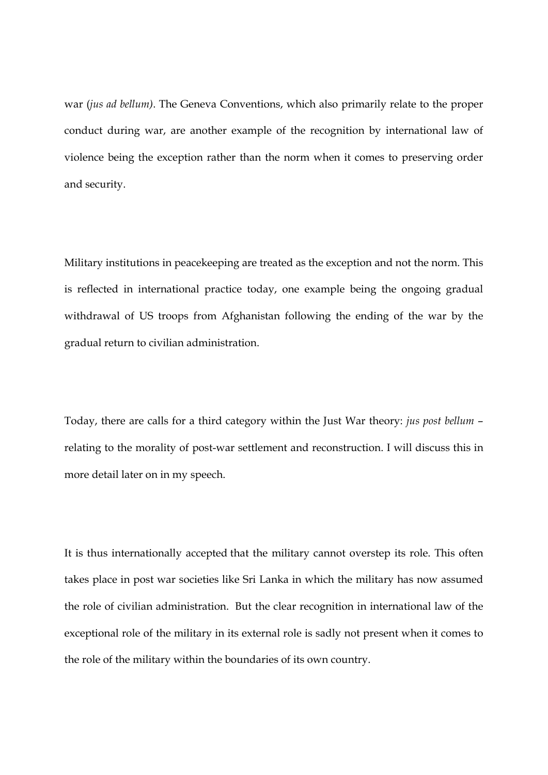war (*jus ad bellum)*. The Geneva Conventions, which also primarily relate to the proper conduct during war, are another example of the recognition by international law of violence being the exception rather than the norm when it comes to preserving order and security.

Military institutions in peacekeeping are treated as the exception and not the norm. This is reflected in international practice today, one example being the ongoing gradual withdrawal of US troops from Afghanistan following the ending of the war by the gradual return to civilian administration.

Today, there are calls for a third category within the Just War theory: *jus post bellum* – relating to the morality of post-war settlement and reconstruction. I will discuss this in more detail later on in my speech.

It is thus internationally accepted that the military cannot overstep its role. This often takes place in post war societies like Sri Lanka in which the military has now assumed the role of civilian administration. But the clear recognition in international law of the exceptional role of the military in its external role is sadly not present when it comes to the role of the military within the boundaries of its own country.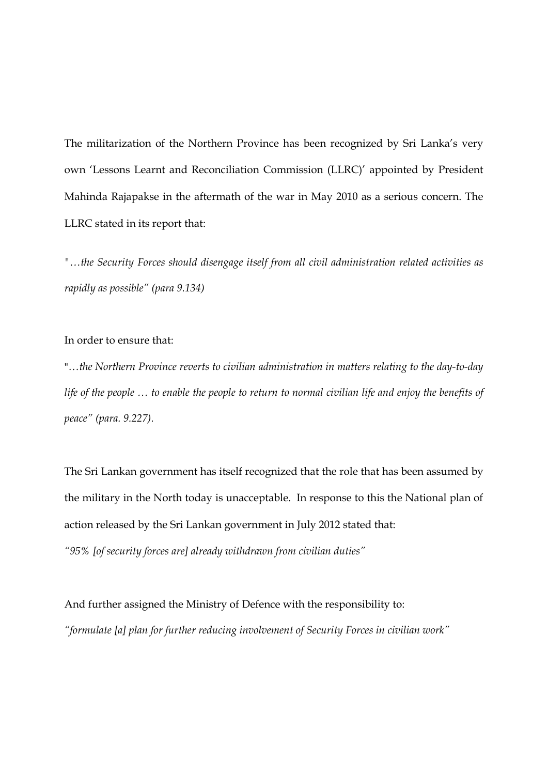The militarization of the Northern Province has been recognized by Sri Lanka's very own 'Lessons Learnt and Reconciliation Commission (LLRC)' appointed by President Mahinda Rajapakse in the aftermath of the war in May 2010 as a serious concern. The LLRC stated in its report that:

*"…the Security Forces should disengage itself from all civil administration related activities as rapidly as possible" (para 9.134)* 

## In order to ensure that:

"*…the Northern Province reverts to civilian administration in matters relating to the day-to-day life of the people … to enable the people to return to normal civilian life and enjoy the benefits of peace" (para. 9.227).*

The Sri Lankan government has itself recognized that the role that has been assumed by the military in the North today is unacceptable. In response to this the National plan of action released by the Sri Lankan government in July 2012 stated that: *"95% [of security forces are] already withdrawn from civilian duties"* 

And further assigned the Ministry of Defence with the responsibility to: *"formulate [a] plan for further reducing involvement of Security Forces in civilian work"*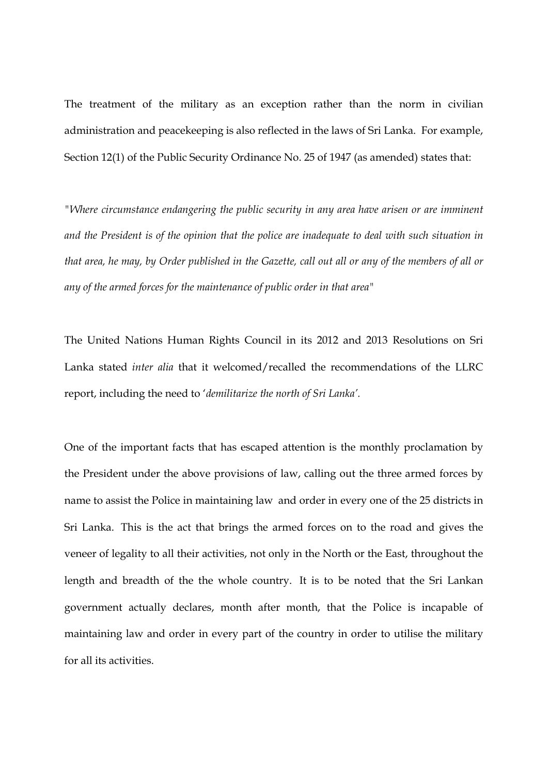The treatment of the military as an exception rather than the norm in civilian administration and peacekeeping is also reflected in the laws of Sri Lanka. For example, Section 12(1) of the Public Security Ordinance No. 25 of 1947 (as amended) states that:

*"Where circumstance endangering the public security in any area have arisen or are imminent and the President is of the opinion that the police are inadequate to deal with such situation in that area, he may, by Order published in the Gazette, call out all or any of the members of all or any of the armed forces for the maintenance of public order in that area"* 

The United Nations Human Rights Council in its 2012 and 2013 Resolutions on Sri Lanka stated *inter alia* that it welcomed/recalled the recommendations of the LLRC report, including the need to '*demilitarize the north of Sri Lanka'.* 

One of the important facts that has escaped attention is the monthly proclamation by the President under the above provisions of law, calling out the three armed forces by name to assist the Police in maintaining law and order in every one of the 25 districts in Sri Lanka. This is the act that brings the armed forces on to the road and gives the veneer of legality to all their activities, not only in the North or the East, throughout the length and breadth of the the whole country. It is to be noted that the Sri Lankan government actually declares, month after month, that the Police is incapable of maintaining law and order in every part of the country in order to utilise the military for all its activities.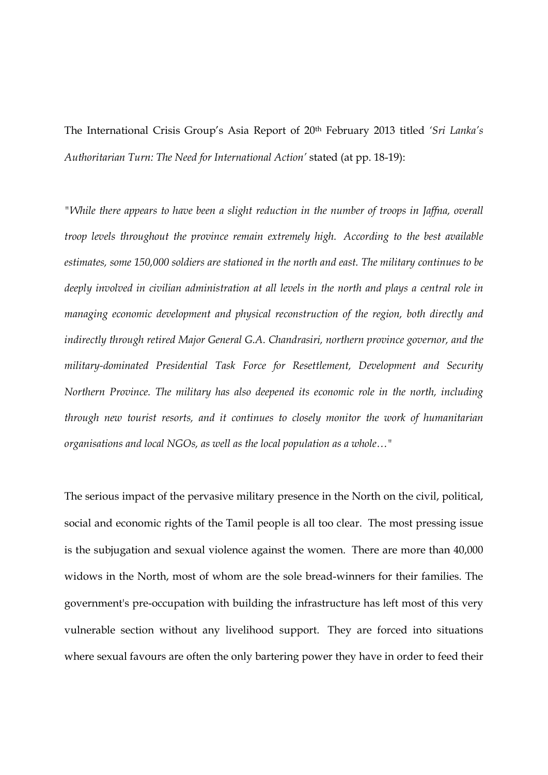The International Crisis Group's Asia Report of 20th February 2013 titled *'Sri Lanka's Authoritarian Turn: The Need for International Action'* stated (at pp. 18-19):

*"While there appears to have been a slight reduction in the number of troops in Jaffna, overall troop levels throughout the province remain extremely high. According to the best available estimates, some 150,000 soldiers are stationed in the north and east. The military continues to be deeply involved in civilian administration at all levels in the north and plays a central role in managing economic development and physical reconstruction of the region, both directly and indirectly through retired Major General G.A. Chandrasiri, northern province governor, and the military-dominated Presidential Task Force for Resettlement, Development and Security Northern Province. The military has also deepened its economic role in the north, including through new tourist resorts, and it continues to closely monitor the work of humanitarian organisations and local NGOs, as well as the local population as a whole…"* 

The serious impact of the pervasive military presence in the North on the civil, political, social and economic rights of the Tamil people is all too clear. The most pressing issue is the subjugation and sexual violence against the women. There are more than 40,000 widows in the North, most of whom are the sole bread-winners for their families. The government's pre-occupation with building the infrastructure has left most of this very vulnerable section without any livelihood support. They are forced into situations where sexual favours are often the only bartering power they have in order to feed their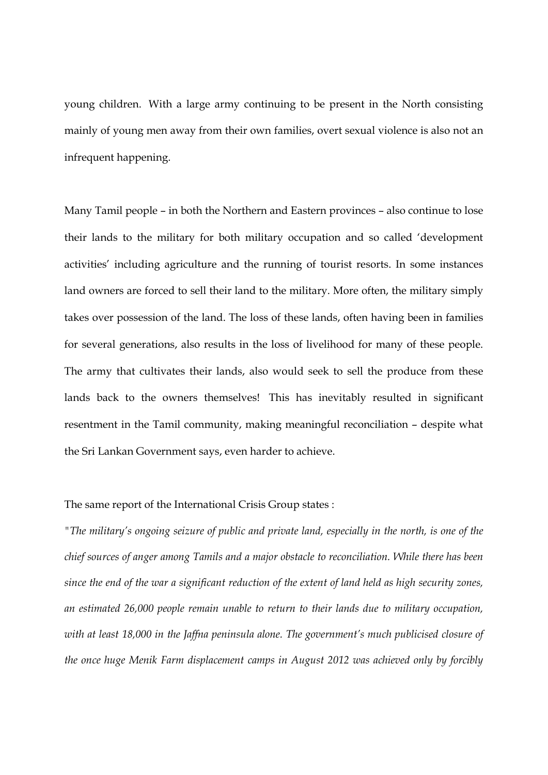young children. With a large army continuing to be present in the North consisting mainly of young men away from their own families, overt sexual violence is also not an infrequent happening.

Many Tamil people – in both the Northern and Eastern provinces – also continue to lose their lands to the military for both military occupation and so called 'development activities' including agriculture and the running of tourist resorts. In some instances land owners are forced to sell their land to the military. More often, the military simply takes over possession of the land. The loss of these lands, often having been in families for several generations, also results in the loss of livelihood for many of these people. The army that cultivates their lands, also would seek to sell the produce from these lands back to the owners themselves! This has inevitably resulted in significant resentment in the Tamil community, making meaningful reconciliation – despite what the Sri Lankan Government says, even harder to achieve.

The same report of the International Crisis Group states :

*"The military's ongoing seizure of public and private land, especially in the north, is one of the chief sources of anger among Tamils and a major obstacle to reconciliation. While there has been since the end of the war a significant reduction of the extent of land held as high security zones, an estimated 26,000 people remain unable to return to their lands due to military occupation, with at least 18,000 in the Jaffna peninsula alone. The government's much publicised closure of the once huge Menik Farm displacement camps in August 2012 was achieved only by forcibly*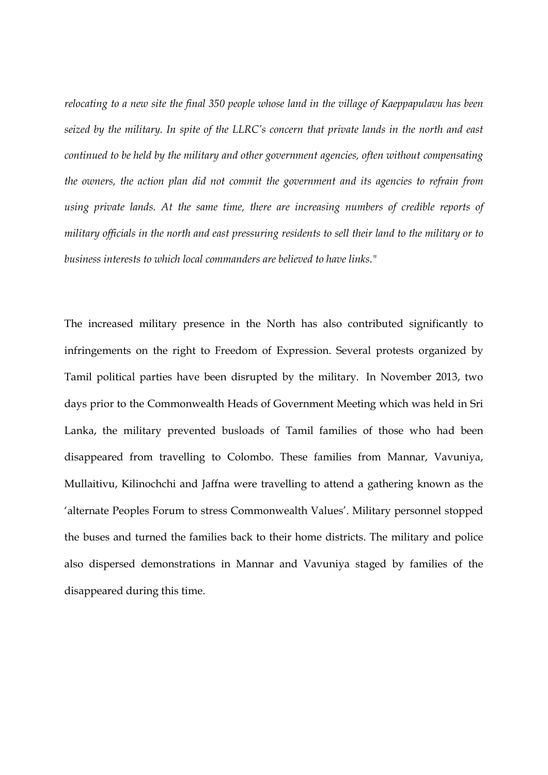*relocating to a new site the final 350 people whose land in the village of Kaeppapulavu has been seized by the military. In spite of the LLRC's concern that private lands in the north and east continued to be held by the military and other government agencies, often without compensating the owners, the action plan did not commit the government and its agencies to refrain from using private lands. At the same time, there are increasing numbers of credible reports of military officials in the north and east pressuring residents to sell their land to the military or to business interests to which local commanders are believed to have links."* 

The increased military presence in the North has also contributed significantly to infringements on the right to Freedom of Expression. Several protests organized by Tamil political parties have been disrupted by the military. In November 2013, two days prior to the Commonwealth Heads of Government Meeting which was held in Sri Lanka, the military prevented busloads of Tamil families of those who had been disappeared from travelling to Colombo. These families from Mannar, Vavuniya, Mullaitivu, Kilinochchi and Jaffna were travelling to attend a gathering known as the 'alternate Peoples Forum to stress Commonwealth Values'. Military personnel stopped the buses and turned the families back to their home districts. The military and police also dispersed demonstrations in Mannar and Vavuniya staged by families of the disappeared during this time.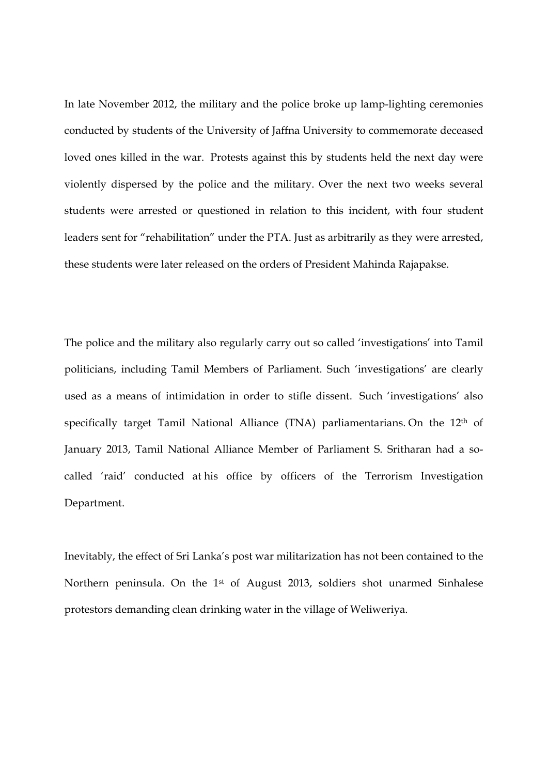In late November 2012, the military and the police broke up lamp-lighting ceremonies conducted by students of the University of Jaffna University to commemorate deceased loved ones killed in the war. Protests against this by students held the next day were violently dispersed by the police and the military. Over the next two weeks several students were arrested or questioned in relation to this incident, with four student leaders sent for "rehabilitation" under the PTA. Just as arbitrarily as they were arrested, these students were later released on the orders of President Mahinda Rajapakse.

The police and the military also regularly carry out so called 'investigations' into Tamil politicians, including Tamil Members of Parliament. Such 'investigations' are clearly used as a means of intimidation in order to stifle dissent. Such 'investigations' also specifically target Tamil National Alliance (TNA) parliamentarians. On the 12th of January 2013, Tamil National Alliance Member of Parliament S. Sritharan had a socalled 'raid' conducted at his office by officers of the Terrorism Investigation Department.

Inevitably, the effect of Sri Lanka's post war militarization has not been contained to the Northern peninsula. On the 1st of August 2013, soldiers shot unarmed Sinhalese protestors demanding clean drinking water in the village of Weliweriya.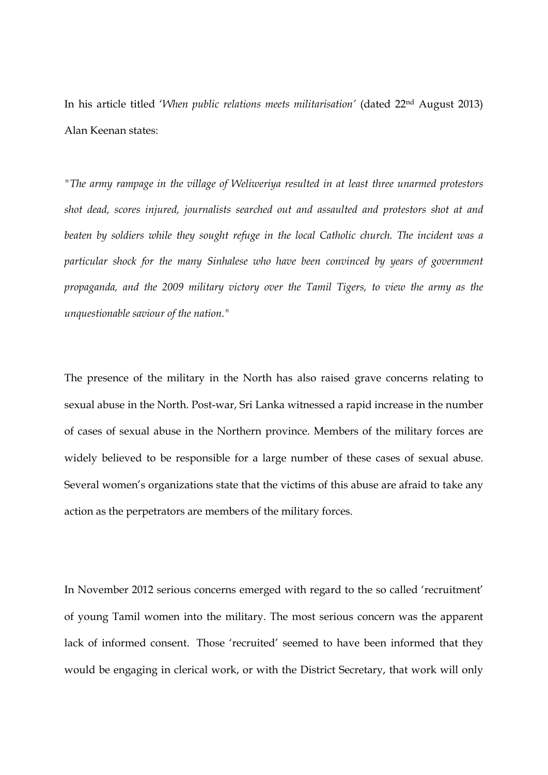In his article titled '*When public relations meets militarisation'* (dated 22nd August 2013) Alan Keenan states:

*"The army rampage in the village of Weliweriya resulted in at least three unarmed protestors shot dead, scores injured, journalists searched out and assaulted and protestors shot at and beaten by soldiers while they sought refuge in the local Catholic church. The incident was a particular shock for the many Sinhalese who have been convinced by years of government propaganda, and the 2009 military victory over the Tamil Tigers, to view the army as the unquestionable saviour of the nation."* 

The presence of the military in the North has also raised grave concerns relating to sexual abuse in the North. Post-war, Sri Lanka witnessed a rapid increase in the number of cases of sexual abuse in the Northern province. Members of the military forces are widely believed to be responsible for a large number of these cases of sexual abuse. Several women's organizations state that the victims of this abuse are afraid to take any action as the perpetrators are members of the military forces.

In November 2012 serious concerns emerged with regard to the so called 'recruitment' of young Tamil women into the military. The most serious concern was the apparent lack of informed consent. Those 'recruited' seemed to have been informed that they would be engaging in clerical work, or with the District Secretary, that work will only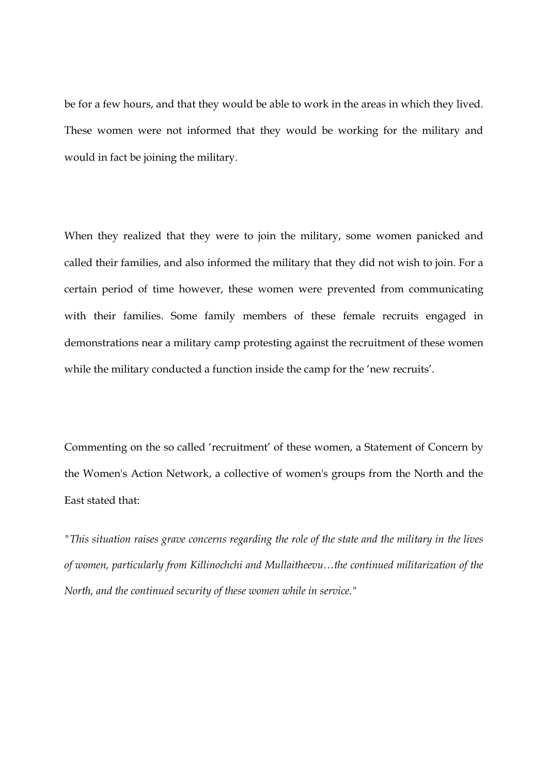be for a few hours, and that they would be able to work in the areas in which they lived. These women were not informed that they would be working for the military and would in fact be joining the military.

When they realized that they were to join the military, some women panicked and called their families, and also informed the military that they did not wish to join. For a certain period of time however, these women were prevented from communicating with their families. Some family members of these female recruits engaged in demonstrations near a military camp protesting against the recruitment of these women while the military conducted a function inside the camp for the 'new recruits'.

Commenting on the so called 'recruitment' of these women, a Statement of Concern by the Women's Action Network, a collective of women's groups from the North and the East stated that:

*"This situation raises grave concerns regarding the role of the state and the military in the lives of women, particularly from Killinochchi and Mullaitheevu…the continued militarization of the North, and the continued security of these women while in service."*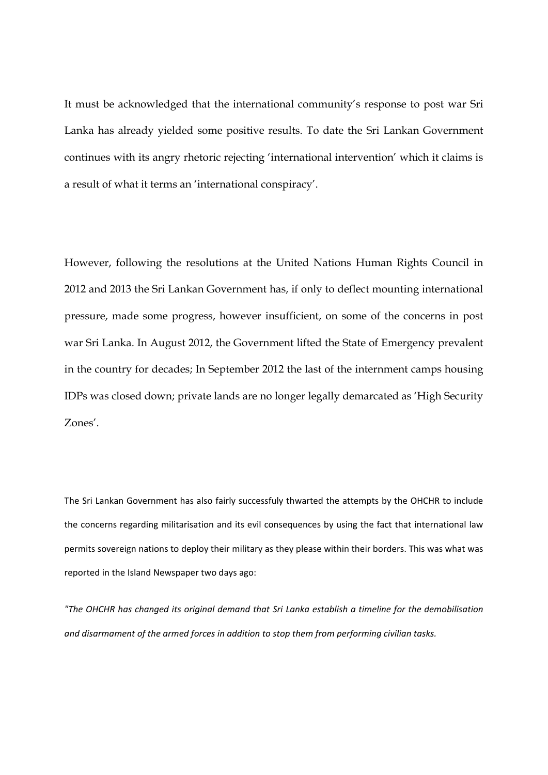It must be acknowledged that the international community's response to post war Sri Lanka has already yielded some positive results. To date the Sri Lankan Government continues with its angry rhetoric rejecting 'international intervention' which it claims is a result of what it terms an 'international conspiracy'.

However, following the resolutions at the United Nations Human Rights Council in 2012 and 2013 the Sri Lankan Government has, if only to deflect mounting international pressure, made some progress, however insufficient, on some of the concerns in post war Sri Lanka. In August 2012, the Government lifted the State of Emergency prevalent in the country for decades; In September 2012 the last of the internment camps housing IDPs was closed down; private lands are no longer legally demarcated as 'High Security Zones'.

The Sri Lankan Government has also fairly successfuly thwarted the attempts by the OHCHR to include the concerns regarding militarisation and its evil consequences by using the fact that international law permits sovereign nations to deploy their military as they please within their borders. This was what was reported in the Island Newspaper two days ago:

*"The OHCHR has changed its original demand that Sri Lanka establish a timeline for the demobilisation and disarmament of the armed forces in addition to stop them from performing civilian tasks.*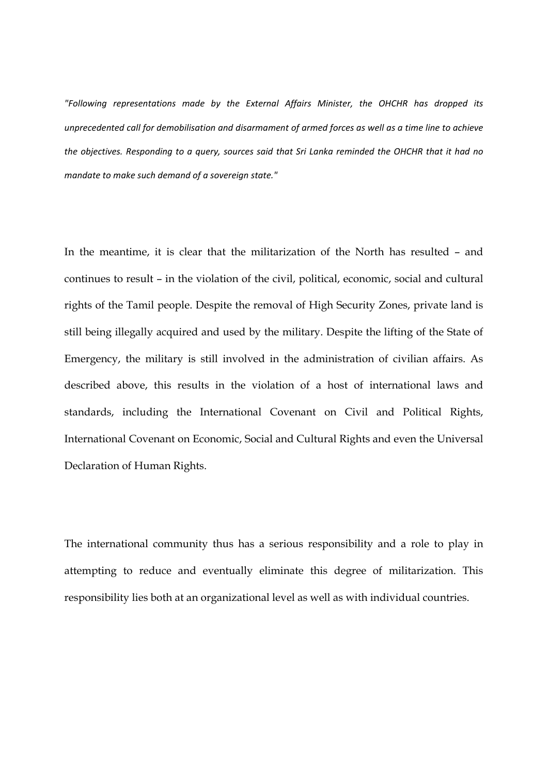*"Following representations made by the External Affairs Minister, the OHCHR has dropped its unprecedented call for demobilisation and disarmament of armed forces as well as a time line to achieve* the objectives. Responding to a query, sources said that Sri Lanka reminded the OHCHR that it had no *mandate to make such demand of a sovereign state."*

In the meantime, it is clear that the militarization of the North has resulted – and continues to result – in the violation of the civil, political, economic, social and cultural rights of the Tamil people. Despite the removal of High Security Zones, private land is still being illegally acquired and used by the military. Despite the lifting of the State of Emergency, the military is still involved in the administration of civilian affairs. As described above, this results in the violation of a host of international laws and standards, including the International Covenant on Civil and Political Rights, International Covenant on Economic, Social and Cultural Rights and even the Universal Declaration of Human Rights.

The international community thus has a serious responsibility and a role to play in attempting to reduce and eventually eliminate this degree of militarization. This responsibility lies both at an organizational level as well as with individual countries.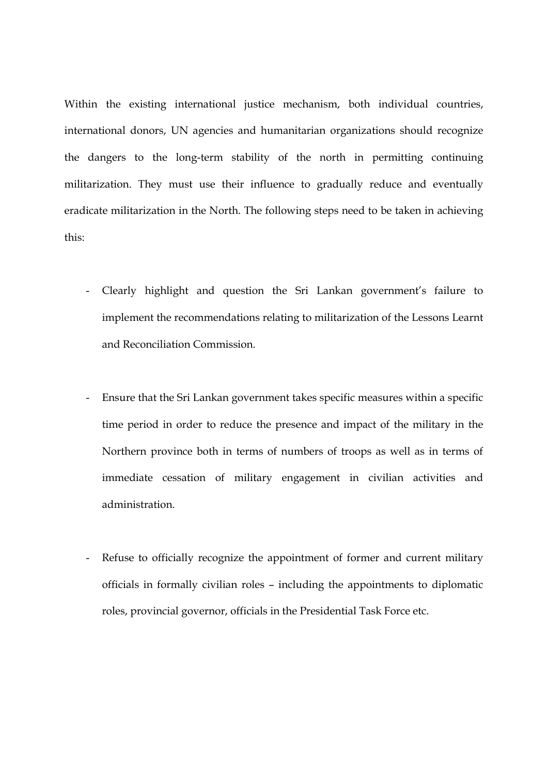Within the existing international justice mechanism, both individual countries, international donors, UN agencies and humanitarian organizations should recognize the dangers to the long-term stability of the north in permitting continuing militarization. They must use their influence to gradually reduce and eventually eradicate militarization in the North. The following steps need to be taken in achieving this:

- Clearly highlight and question the Sri Lankan government's failure to implement the recommendations relating to militarization of the Lessons Learnt and Reconciliation Commission.
- Ensure that the Sri Lankan government takes specific measures within a specific time period in order to reduce the presence and impact of the military in the Northern province both in terms of numbers of troops as well as in terms of immediate cessation of military engagement in civilian activities and administration.
- Refuse to officially recognize the appointment of former and current military officials in formally civilian roles – including the appointments to diplomatic roles, provincial governor, officials in the Presidential Task Force etc.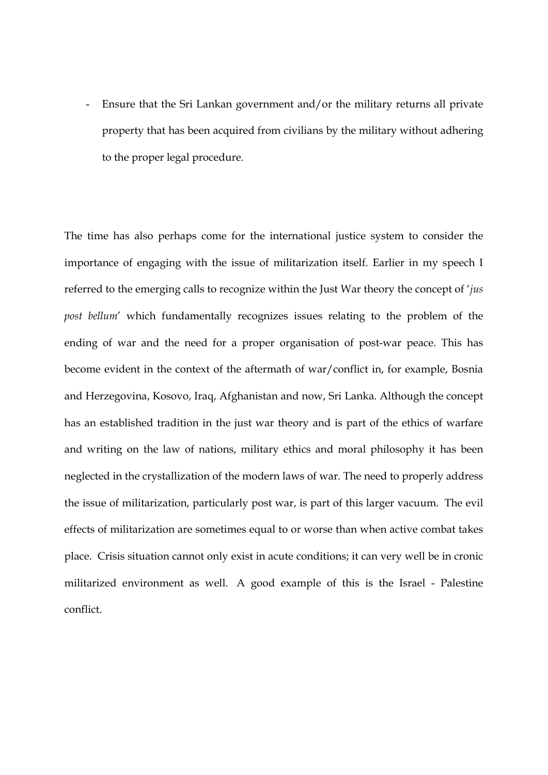Ensure that the Sri Lankan government and/or the military returns all private property that has been acquired from civilians by the military without adhering to the proper legal procedure.

The time has also perhaps come for the international justice system to consider the importance of engaging with the issue of militarization itself. Earlier in my speech I referred to the emerging calls to recognize within the Just War theory the concept of '*jus post bellum*' which fundamentally recognizes issues relating to the problem of the ending of war and the need for a proper organisation of post-war peace. This has become evident in the context of the aftermath of war/conflict in, for example, Bosnia and Herzegovina, Kosovo, Iraq, Afghanistan and now, Sri Lanka. Although the concept has an established tradition in the just war theory and is part of the ethics of warfare and writing on the law of nations, military ethics and moral philosophy it has been neglected in the crystallization of the modern laws of war. The need to properly address the issue of militarization, particularly post war, is part of this larger vacuum. The evil effects of militarization are sometimes equal to or worse than when active combat takes place. Crisis situation cannot only exist in acute conditions; it can very well be in cronic militarized environment as well. A good example of this is the Israel - Palestine conflict.